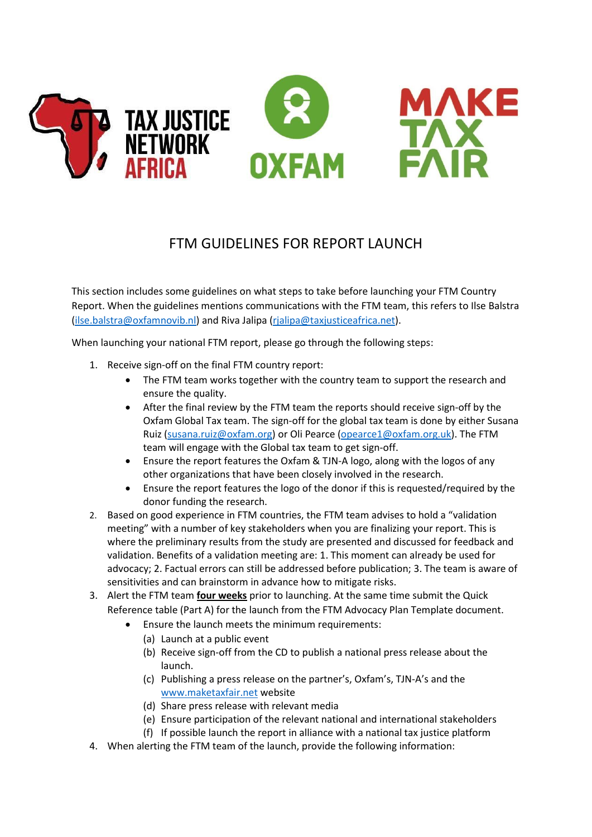

## FTM GUIDELINES FOR REPORT LAUNCH

This section includes some guidelines on what steps to take before launching your FTM Country Report. When the guidelines mentions communications with the FTM team, this refers to Ilse Balstra [\(ilse.balstra@oxfamnovib.nl\)](mailto:ilse.balstra@oxfamnovib.nl) and Riva Jalipa [\(rjalipa@taxjusticeafrica.net\)](mailto:rjalipa@taxjusticeafrica.net).

When launching your national FTM report, please go through the following steps:

- 1. Receive sign-off on the final FTM country report:
	- The FTM team works together with the country team to support the research and ensure the quality.
	- After the final review by the FTM team the reports should receive sign-off by the Oxfam Global Tax team. The sign-off for the global tax team is done by either Susana Ruiz [\(susana.ruiz@oxfam.org\)](mailto:susana.ruiz@oxfam.org) or Oli Pearce [\(opearce1@oxfam.org.uk\)](mailto:opearce1@oxfam.org.uk). The FTM team will engage with the Global tax team to get sign-off.
	- Ensure the report features the Oxfam & TJN-A logo, along with the logos of any other organizations that have been closely involved in the research.
	- Ensure the report features the logo of the donor if this is requested/required by the donor funding the research.
- 2. Based on good experience in FTM countries, the FTM team advises to hold a "validation meeting" with a number of key stakeholders when you are finalizing your report. This is where the preliminary results from the study are presented and discussed for feedback and validation. Benefits of a validation meeting are: 1. This moment can already be used for advocacy; 2. Factual errors can still be addressed before publication; 3. The team is aware of sensitivities and can brainstorm in advance how to mitigate risks.
- 3. Alert the FTM team **four weeks** prior to launching. At the same time submit the Quick Reference table (Part A) for the launch from the FTM Advocacy Plan Template document.
	- Ensure the launch meets the minimum requirements:
		- (a) Launch at a public event
		- (b) Receive sign-off from the CD to publish a national press release about the launch.
		- (c) Publishing a press release on the partner's, Oxfam's, TJN-A's and the [www.maketaxfair.net](http://www.maketaxfair.net/) website
		- (d) Share press release with relevant media
		- (e) Ensure participation of the relevant national and international stakeholders
		- (f) If possible launch the report in alliance with a national tax justice platform
- 4. When alerting the FTM team of the launch, provide the following information: